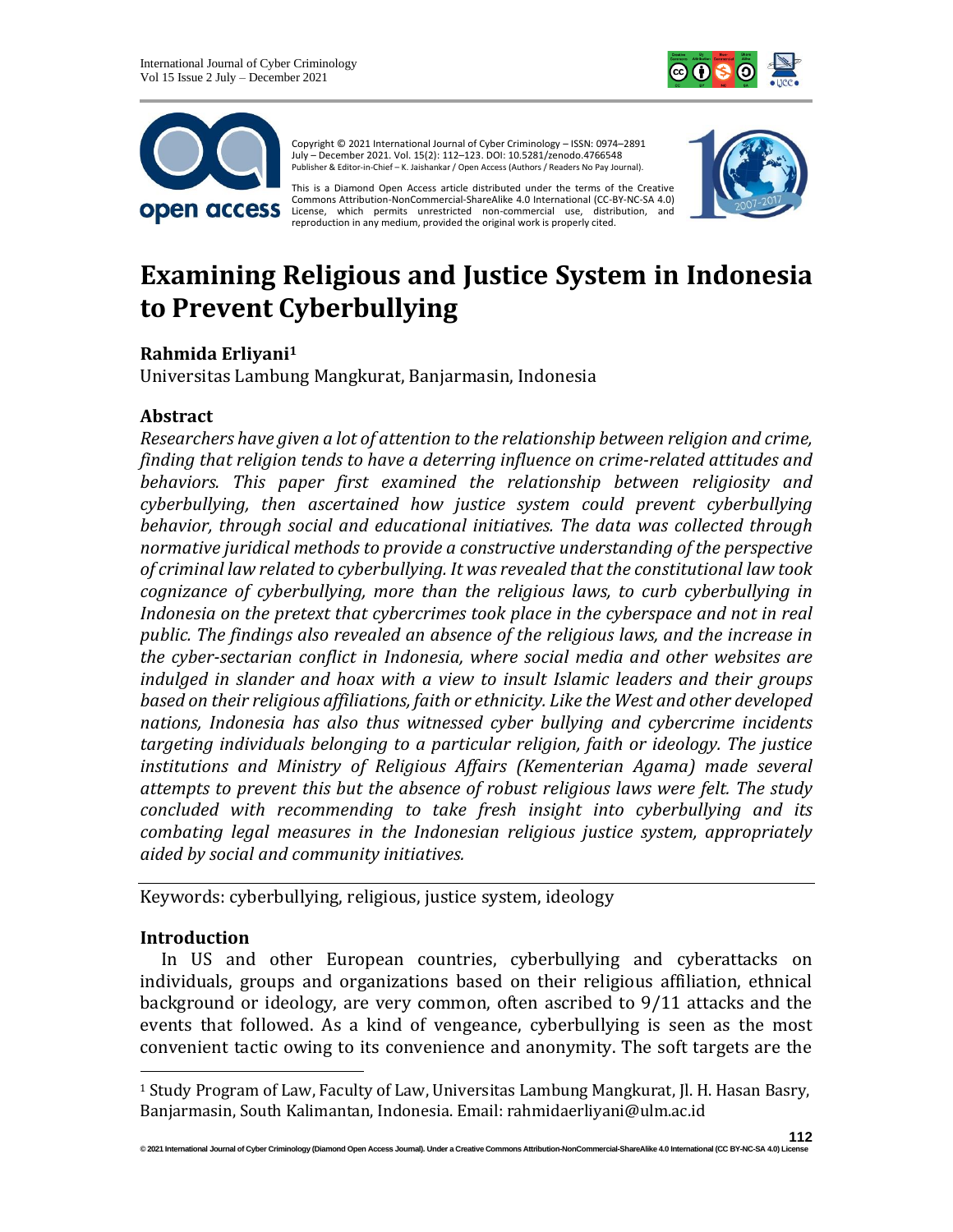



Copyright © 2021 International Journal of Cyber Criminology – ISSN: 0974–2891 July – December 2021. Vol. 15(2): 112–123. DOI: 10.5281/zenodo.4766548 Publisher & Editor-in-Chief – K. Jaishankar / Open Access (Authors / Readers No Pay Journal).

This is a Diamond Open Access article distributed under the terms of the Creative Commons Attribution-NonCommercial-ShareAlike 4.0 International (CC-BY-NC-SA 4.0) License, which permits unrestricted non-commercial use, distribution, and reproduction in any medium, provided the original work is properly cited.



# **Examining Religious and Justice System in Indonesia to Prevent Cyberbullying**

## **Rahmida Erliyani<sup>1</sup>**

Universitas Lambung Mangkurat, Banjarmasin, Indonesia

#### **Abstract**

*Researchers have given a lot of attention to the relationship between religion and crime, finding that religion tends to have a deterring influence on crime-related attitudes and behaviors. This paper first examined the relationship between religiosity and cyberbullying, then ascertained how justice system could prevent cyberbullying behavior, through social and educational initiatives. The data was collected through normative juridical methods to provide a constructive understanding of the perspective of criminal law related to cyberbullying. It was revealed that the constitutional law took cognizance of cyberbullying, more than the religious laws, to curb cyberbullying in Indonesia on the pretext that cybercrimes took place in the cyberspace and not in real public. The findings also revealed an absence of the religious laws, and the increase in the cyber-sectarian conflict in Indonesia, where social media and other websites are indulged in slander and hoax with a view to insult Islamic leaders and their groups based on their religious affiliations, faith or ethnicity. Like the West and other developed nations, Indonesia has also thus witnessed cyber bullying and cybercrime incidents targeting individuals belonging to a particular religion, faith or ideology. The justice institutions and Ministry of Religious Affairs (Kementerian Agama) made several attempts to prevent this but the absence of robust religious laws were felt. The study concluded with recommending to take fresh insight into cyberbullying and its combating legal measures in the Indonesian religious justice system, appropriately aided by social and community initiatives.*

Keywords: cyberbullying, religious, justice system, ideology

## **Introduction**

In US and other European countries, cyberbullying and cyberattacks on individuals, groups and organizations based on their religious affiliation, ethnical background or ideology, are very common, often ascribed to 9/11 attacks and the events that followed. As a kind of vengeance, cyberbullying is seen as the most convenient tactic owing to its convenience and anonymity. The soft targets are the

<sup>1</sup> Study Program of Law, Faculty of Law, Universitas Lambung Mangkurat, Jl. H. Hasan Basry, Banjarmasin, South Kalimantan, Indonesia. Email: rahmidaerliyani@ulm.ac.id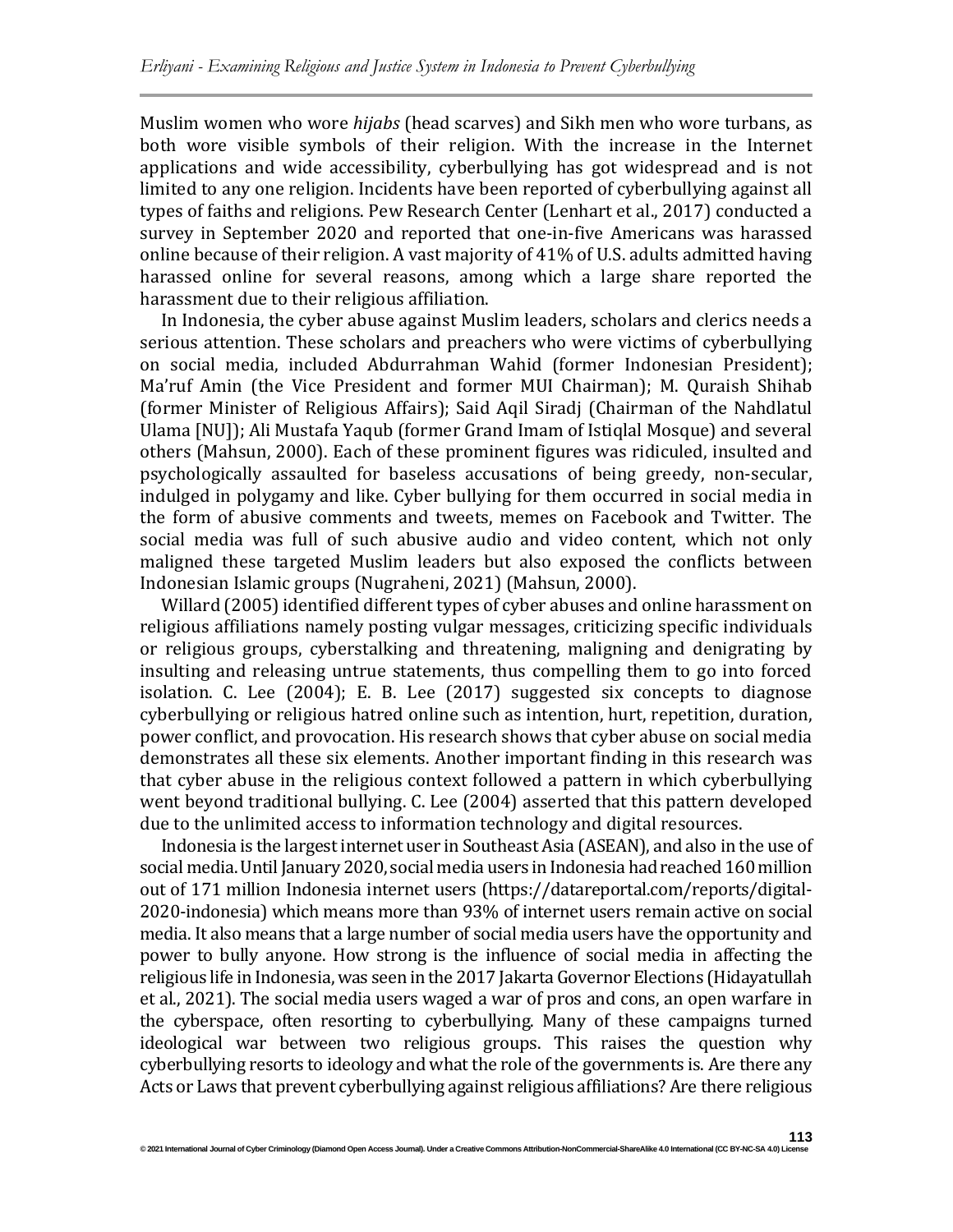Muslim women who wore *hijabs* (head scarves) and Sikh men who wore turbans, as both wore visible symbols of their religion. With the increase in the Internet applications and wide accessibility, cyberbullying has got widespread and is not limited to any one religion. Incidents have been reported of cyberbullying against all types of faiths and religions. Pew Research Center (Lenhart et al., 2017) conducted a survey in September 2020 and reported that one-in-five Americans was harassed online because of their religion. A vast majority of 41% of U.S. adults admitted having harassed online for several reasons, among which a large share reported the harassment due to their religious affiliation.

In Indonesia, the cyber abuse against Muslim leaders, scholars and clerics needs a serious attention. These scholars and preachers who were victims of cyberbullying on social media, included Abdurrahman Wahid (former Indonesian President); Ma'ruf Amin (the Vice President and former MUI Chairman); M. Quraish Shihab (former Minister of Religious Affairs); Said Aqil Siradj (Chairman of the Nahdlatul Ulama [NU]); Ali Mustafa Yaqub (former Grand Imam of Istiqlal Mosque) and several others (Mahsun, 2000). Each of these prominent figures was ridiculed, insulted and psychologically assaulted for baseless accusations of being greedy, non-secular, indulged in polygamy and like. Cyber bullying for them occurred in social media in the form of abusive comments and tweets, memes on Facebook and Twitter. The social media was full of such abusive audio and video content, which not only maligned these targeted Muslim leaders but also exposed the conflicts between Indonesian Islamic groups (Nugraheni, 2021) (Mahsun, 2000).

Willard (2005) identified different types of cyber abuses and online harassment on religious affiliations namely posting vulgar messages, criticizing specific individuals or religious groups, cyberstalking and threatening, maligning and denigrating by insulting and releasing untrue statements, thus compelling them to go into forced isolation. C. Lee (2004); E. B. Lee (2017) suggested six concepts to diagnose cyberbullying or religious hatred online such as intention, hurt, repetition, duration, power conflict, and provocation. His research shows that cyber abuse on social media demonstrates all these six elements. Another important finding in this research was that cyber abuse in the religious context followed a pattern in which cyberbullying went beyond traditional bullying. C. Lee (2004) asserted that this pattern developed due to the unlimited access to information technology and digital resources.

Indonesia is the largest internet user in Southeast Asia (ASEAN), and also in the use of social media. Until January 2020, social media users in Indonesia had reached 160 million out of 171 million Indonesia internet users (https://datareportal.com/reports/digital-2020-indonesia) which means more than 93% of internet users remain active on social media. It also means that a large number of social media users have the opportunity and power to bully anyone. How strong is the influence of social media in affecting the religious life in Indonesia, was seen in the 2017 Jakarta Governor Elections (Hidayatullah et al., 2021). The social media users waged a war of pros and cons, an open warfare in the cyberspace, often resorting to cyberbullying. Many of these campaigns turned ideological war between two religious groups. This raises the question why cyberbullying resorts to ideology and what the role of the governments is. Are there any Acts or Laws that prevent cyberbullying against religious affiliations? Are there religious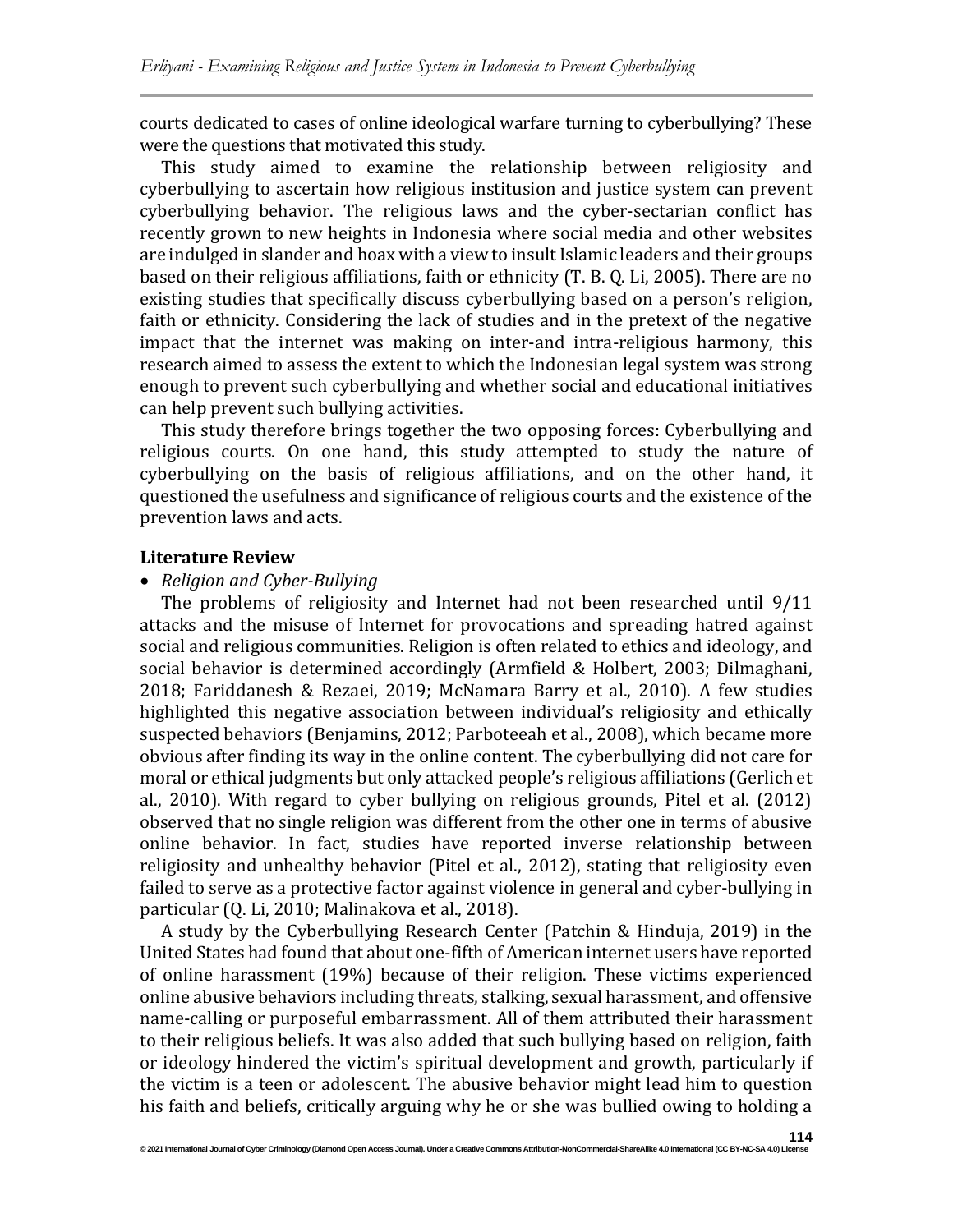courts dedicated to cases of online ideological warfare turning to cyberbullying? These were the questions that motivated this study.

This study aimed to examine the relationship between religiosity and cyberbullying to ascertain how religious institusion and justice system can prevent cyberbullying behavior. The religious laws and the cyber-sectarian conflict has recently grown to new heights in Indonesia where social media and other websites are indulged in slander and hoax with a view to insult Islamic leaders and their groups based on their religious affiliations, faith or ethnicity (T. B. Q. Li, 2005). There are no existing studies that specifically discuss cyberbullying based on a person's religion, faith or ethnicity. Considering the lack of studies and in the pretext of the negative impact that the internet was making on inter-and intra-religious harmony, this research aimed to assess the extent to which the Indonesian legal system was strong enough to prevent such cyberbullying and whether social and educational initiatives can help prevent such bullying activities.

This study therefore brings together the two opposing forces: Cyberbullying and religious courts. On one hand, this study attempted to study the nature of cyberbullying on the basis of religious affiliations, and on the other hand, it questioned the usefulness and significance of religious courts and the existence of the prevention laws and acts.

#### **Literature Review**

#### • *Religion and Cyber-Bullying*

The problems of religiosity and Internet had not been researched until 9/11 attacks and the misuse of Internet for provocations and spreading hatred against social and religious communities. Religion is often related to ethics and ideology, and social behavior is determined accordingly (Armfield & Holbert, 2003; Dilmaghani, 2018; Fariddanesh & Rezaei, 2019; McNamara Barry et al., 2010). A few studies highlighted this negative association between individual's religiosity and ethically suspected behaviors (Benjamins, 2012; Parboteeah et al., 2008), which became more obvious after finding its way in the online content. The cyberbullying did not care for moral or ethical judgments but only attacked people's religious affiliations (Gerlich et al., 2010). With regard to cyber bullying on religious grounds, Pitel et al. (2012) observed that no single religion was different from the other one in terms of abusive online behavior. In fact, studies have reported inverse relationship between religiosity and unhealthy behavior (Pitel et al., 2012), stating that religiosity even failed to serve as a protective factor against violence in general and cyber-bullying in particular (Q. Li, 2010; Malinakova et al., 2018).

A study by the Cyberbullying Research Center (Patchin & Hinduja, 2019) in the United States had found that about one-fifth of American internet users have reported of online harassment (19%) because of their religion. These victims experienced online abusive behaviors including threats, stalking, sexual harassment, and offensive name-calling or purposeful embarrassment. All of them attributed their harassment to their religious beliefs. It was also added that such bullying based on religion, faith or ideology hindered the victim's spiritual development and growth, particularly if the victim is a teen or adolescent. The abusive behavior might lead him to question his faith and beliefs, critically arguing why he or she was bullied owing to holding a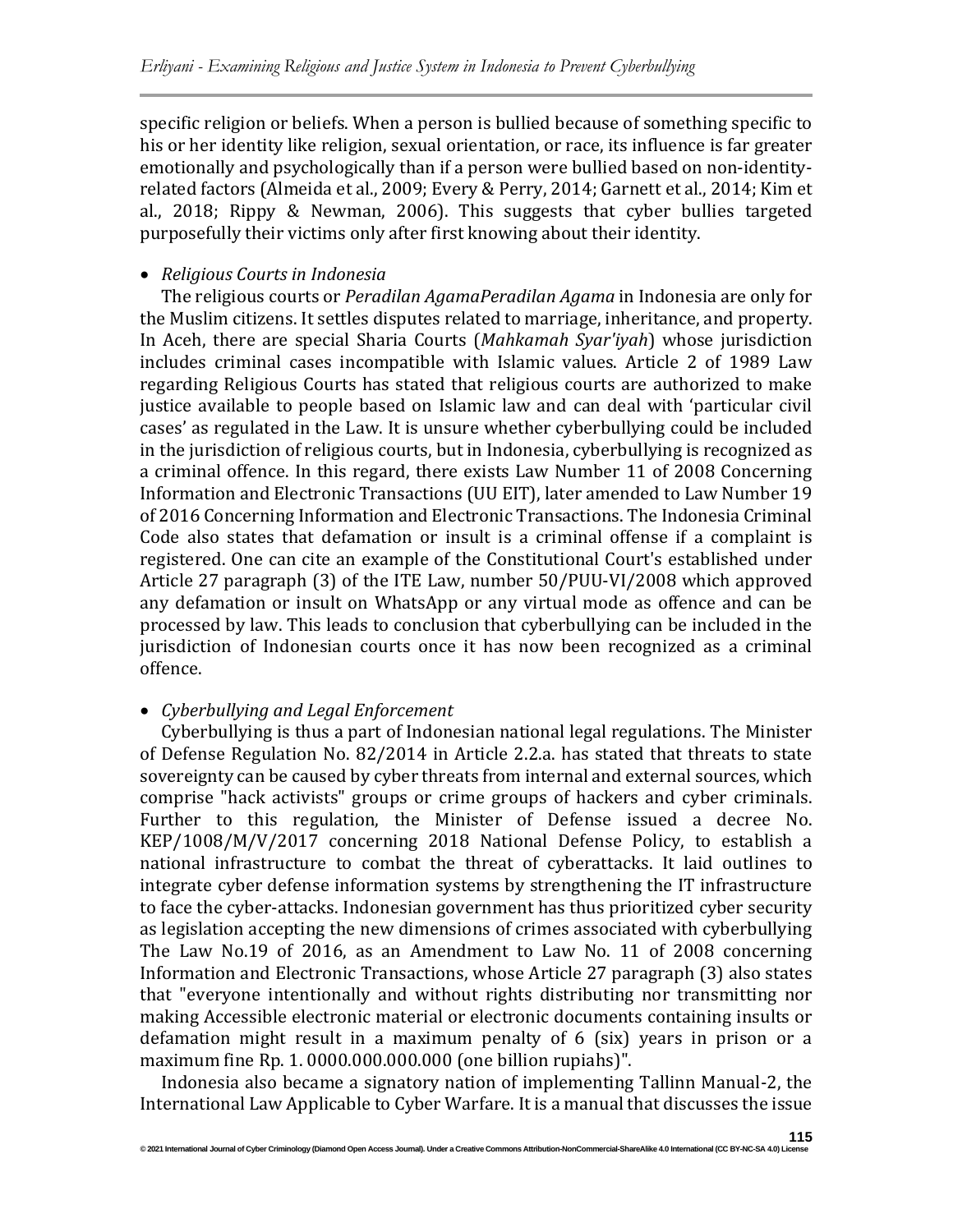specific religion or beliefs. When a person is bullied because of something specific to his or her identity like religion, sexual orientation, or race, its influence is far greater emotionally and psychologically than if a person were bullied based on non-identityrelated factors (Almeida et al., 2009; Every & Perry, 2014; Garnett et al., 2014; Kim et al., 2018; Rippy & Newman, 2006). This suggests that cyber bullies targeted purposefully their victims only after first knowing about their identity.

## • *Religious Courts in Indonesia*

The religious courts or *Peradilan AgamaPeradilan Agama* in Indonesia are only for the Muslim citizens. It settles disputes related to marriage, inheritance, and property. In Aceh, there are special Sharia Courts (*Mahkamah Syar'iyah*) whose jurisdiction includes criminal cases incompatible with Islamic values. Article 2 of 1989 Law regarding Religious Courts has stated that religious courts are authorized to make justice available to people based on Islamic law and can deal with 'particular civil cases' as regulated in the Law. It is unsure whether cyberbullying could be included in the jurisdiction of religious courts, but in Indonesia, cyberbullying is recognized as a criminal offence. In this regard, there exists Law Number 11 of 2008 Concerning Information and Electronic Transactions (UU EIT), later amended to Law Number 19 of 2016 Concerning Information and Electronic Transactions. The Indonesia Criminal Code also states that defamation or insult is a criminal offense if a complaint is registered. One can cite an example of the Constitutional Court's established under Article 27 paragraph (3) of the ITE Law, number 50/PUU-VI/2008 which approved any defamation or insult on WhatsApp or any virtual mode as offence and can be processed by law. This leads to conclusion that cyberbullying can be included in the jurisdiction of Indonesian courts once it has now been recognized as a criminal offence.

## • *Cyberbullying and Legal Enforcement*

Cyberbullying is thus a part of Indonesian national legal regulations. The Minister of Defense Regulation No. 82/2014 in Article 2.2.a. has stated that threats to state sovereignty can be caused by cyber threats from internal and external sources, which comprise "hack activists" groups or crime groups of hackers and cyber criminals. Further to this regulation, the Minister of Defense issued a decree No. KEP/1008/M/V/2017 concerning 2018 National Defense Policy, to establish a national infrastructure to combat the threat of cyberattacks. It laid outlines to integrate cyber defense information systems by strengthening the IT infrastructure to face the cyber-attacks. Indonesian government has thus prioritized cyber security as legislation accepting the new dimensions of crimes associated with cyberbullying The Law No.19 of 2016, as an Amendment to Law No. 11 of 2008 concerning Information and Electronic Transactions, whose Article 27 paragraph (3) also states that "everyone intentionally and without rights distributing nor transmitting nor making Accessible electronic material or electronic documents containing insults or defamation might result in a maximum penalty of 6 (six) years in prison or a maximum fine Rp. 1. 0000.000.000.000 (one billion rupiahs)".

Indonesia also became a signatory nation of implementing Tallinn Manual-2, the International Law Applicable to Cyber Warfare. It is a manual that discusses the issue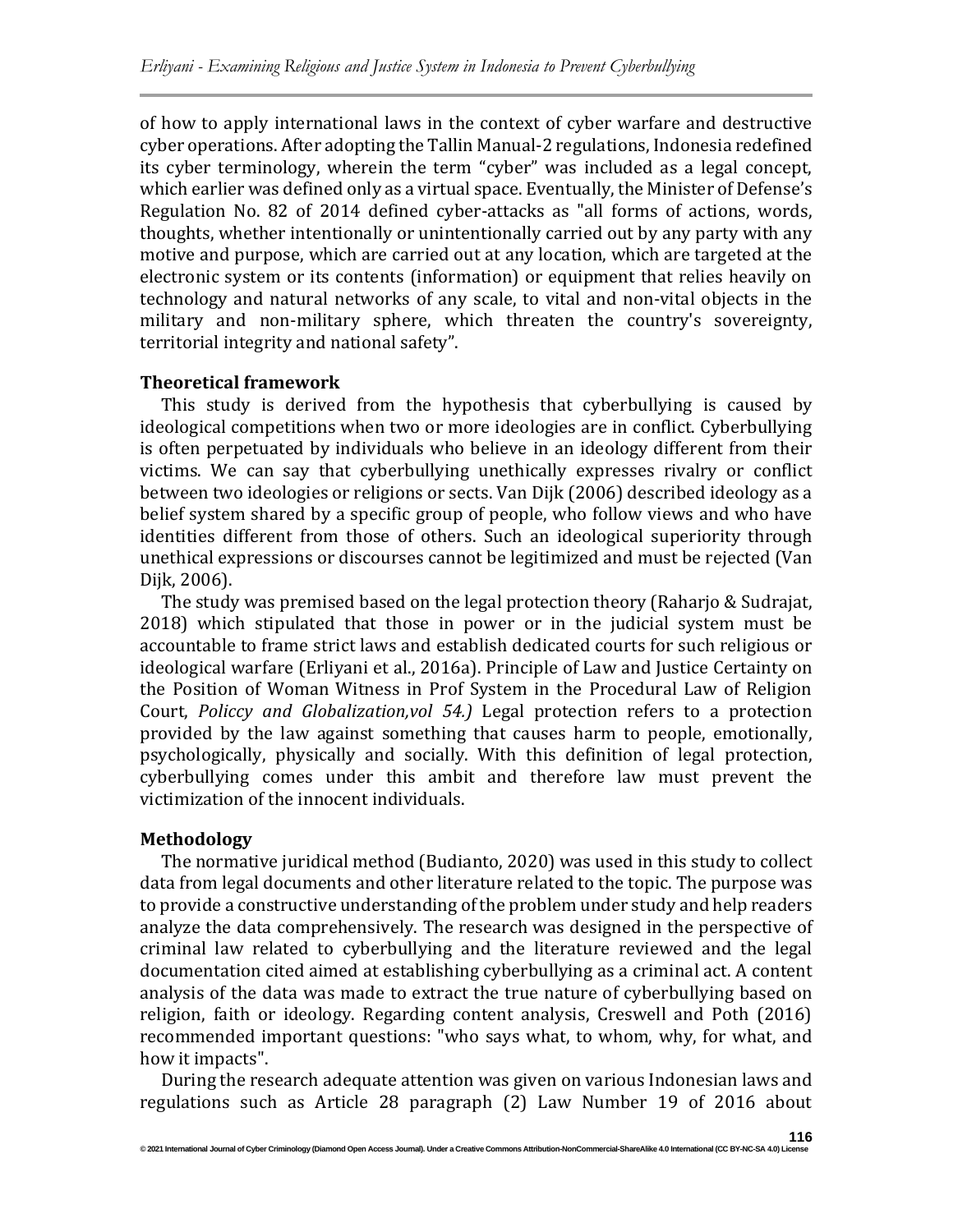of how to apply international laws in the context of cyber warfare and destructive cyber operations. After adopting the Tallin Manual-2 regulations, Indonesia redefined its cyber terminology, wherein the term "cyber" was included as a legal concept, which earlier was defined only as a virtual space. Eventually, the Minister of Defense's Regulation No. 82 of 2014 defined cyber-attacks as "all forms of actions, words, thoughts, whether intentionally or unintentionally carried out by any party with any motive and purpose, which are carried out at any location, which are targeted at the electronic system or its contents (information) or equipment that relies heavily on technology and natural networks of any scale, to vital and non-vital objects in the military and non-military sphere, which threaten the country's sovereignty, territorial integrity and national safety".

## **Theoretical framework**

This study is derived from the hypothesis that cyberbullying is caused by ideological competitions when two or more ideologies are in conflict. Cyberbullying is often perpetuated by individuals who believe in an ideology different from their victims. We can say that cyberbullying unethically expresses rivalry or conflict between two ideologies or religions or sects. Van Dijk (2006) described ideology as a belief system shared by a specific group of people, who follow views and who have identities different from those of others. Such an ideological superiority through unethical expressions or discourses cannot be legitimized and must be rejected (Van Dijk, 2006).

The study was premised based on the legal protection theory (Raharjo & Sudrajat, 2018) which stipulated that those in power or in the judicial system must be accountable to frame strict laws and establish dedicated courts for such religious or ideological warfare (Erliyani et al., 2016a). Principle of Law and Justice Certainty on the Position of Woman Witness in Prof System in the Procedural Law of Religion Court, *Policcy and Globalization,vol 54.)* Legal protection refers to a protection provided by the law against something that causes harm to people, emotionally, psychologically, physically and socially. With this definition of legal protection, cyberbullying comes under this ambit and therefore law must prevent the victimization of the innocent individuals.

#### **Methodology**

The normative juridical method (Budianto, 2020) was used in this study to collect data from legal documents and other literature related to the topic. The purpose was to provide a constructive understanding of the problem under study and help readers analyze the data comprehensively. The research was designed in the perspective of criminal law related to cyberbullying and the literature reviewed and the legal documentation cited aimed at establishing cyberbullying as a criminal act. A content analysis of the data was made to extract the true nature of cyberbullying based on religion, faith or ideology. Regarding content analysis, Creswell and Poth (2016) recommended important questions: "who says what, to whom, why, for what, and how it impacts".

During the research adequate attention was given on various Indonesian laws and regulations such as Article 28 paragraph (2) Law Number 19 of 2016 about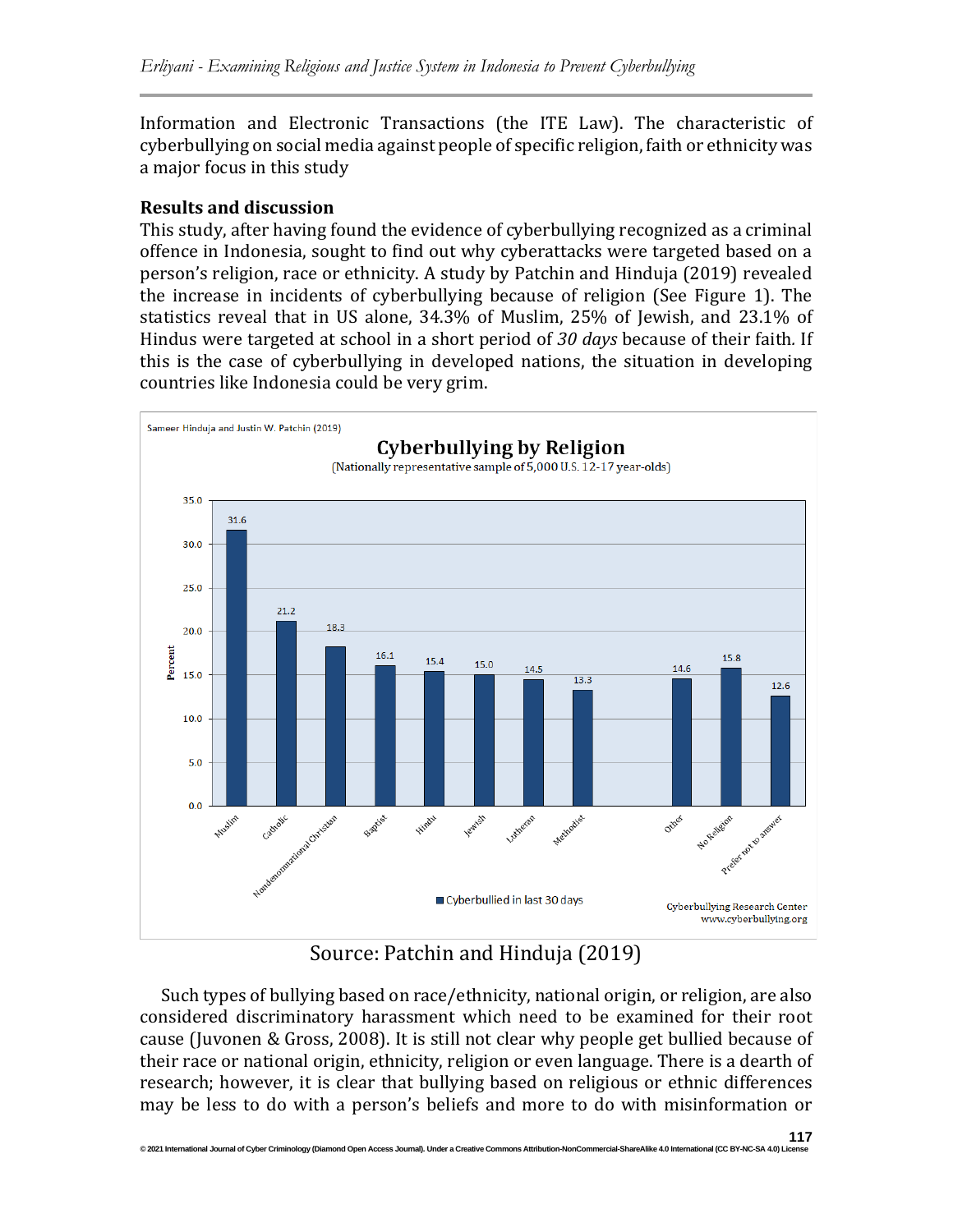Information and Electronic Transactions (the ITE Law). The characteristic of cyberbullying on social media against people of specific religion, faith or ethnicity was a major focus in this study

## **Results and discussion**

This study, after having found the evidence of cyberbullying recognized as a criminal offence in Indonesia, sought to find out why cyberattacks were targeted based on a person's religion, race or ethnicity. A study by Patchin and Hinduja (2019) revealed the increase in incidents of cyberbullying because of religion (See Figure 1). The statistics reveal that in US alone, 34.3% of Muslim, 25% of Jewish, and 23.1% of Hindus were targeted at school in a short period of *30 days* because of their faith*.* If this is the case of cyberbullying in developed nations, the situation in developing countries like Indonesia could be very grim.



Source: Patchin and Hinduja (2019)

Such types of bullying based on race/ethnicity, national origin, or religion, are also considered discriminatory harassment which need to be examined for their root cause (Juvonen & Gross, 2008). It is still not clear why people get bullied because of their race or national origin, ethnicity, religion or even language. There is a dearth of research; however, it is clear that bullying based on religious or ethnic differences may be less to do with a person's beliefs and more to do with misinformation or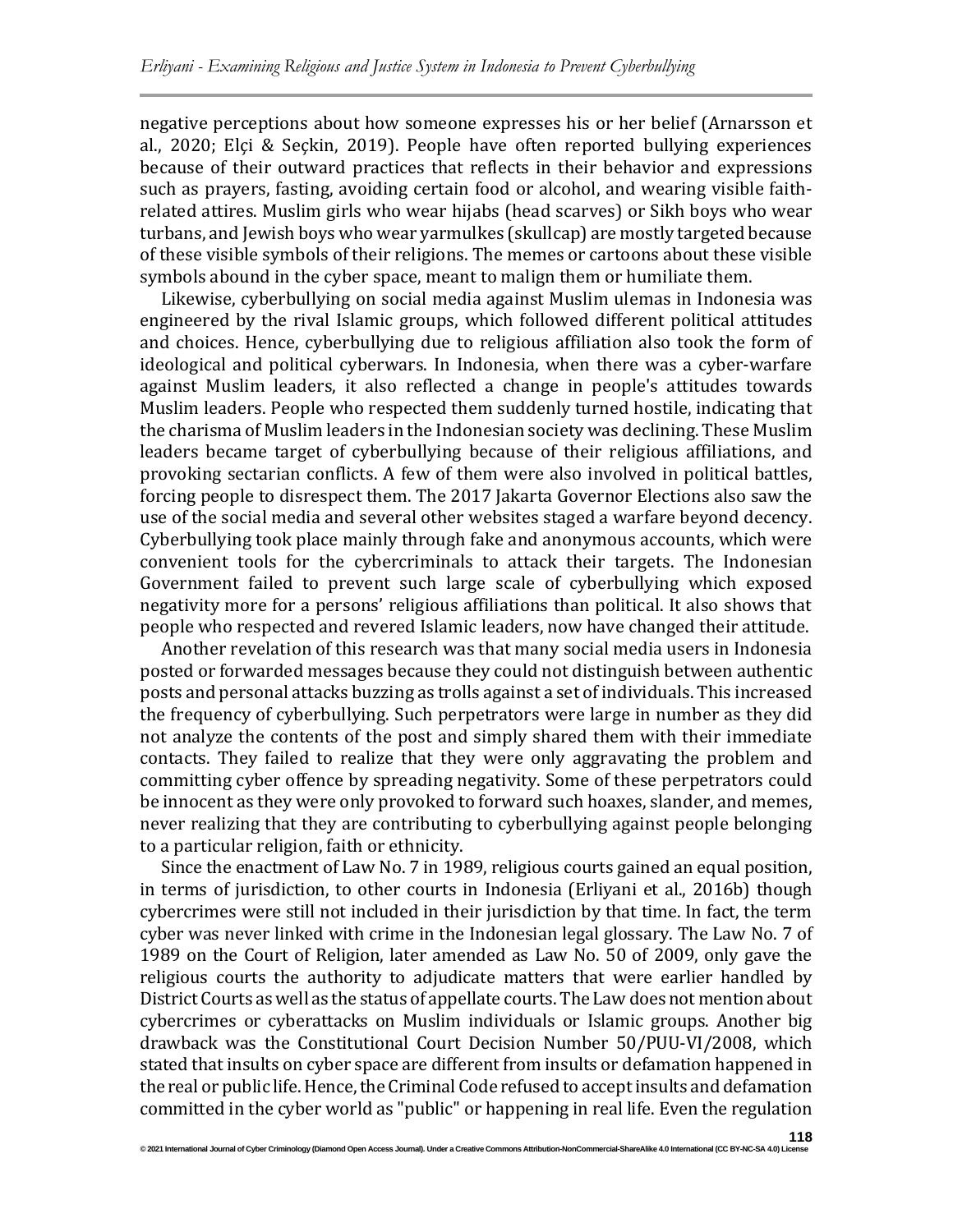negative perceptions about how someone expresses his or her belief (Arnarsson et al., 2020; Elçi & Seçkin, 2019). People have often reported bullying experiences because of their outward practices that reflects in their behavior and expressions such as prayers, fasting, avoiding certain food or alcohol, and wearing visible faithrelated attires. Muslim girls who wear hijabs (head scarves) or Sikh boys who wear turbans, and Jewish boys who wear yarmulkes (skullcap) are mostly targeted because of these visible symbols of their religions. The memes or cartoons about these visible symbols abound in the cyber space, meant to malign them or humiliate them.

Likewise, cyberbullying on social media against Muslim ulemas in Indonesia was engineered by the rival Islamic groups, which followed different political attitudes and choices. Hence, cyberbullying due to religious affiliation also took the form of ideological and political cyberwars. In Indonesia, when there was a cyber-warfare against Muslim leaders, it also reflected a change in people's attitudes towards Muslim leaders. People who respected them suddenly turned hostile, indicating that the charisma of Muslim leaders in the Indonesian society was declining. These Muslim leaders became target of cyberbullying because of their religious affiliations, and provoking sectarian conflicts. A few of them were also involved in political battles, forcing people to disrespect them. The 2017 Jakarta Governor Elections also saw the use of the social media and several other websites staged a warfare beyond decency. Cyberbullying took place mainly through fake and anonymous accounts, which were convenient tools for the cybercriminals to attack their targets. The Indonesian Government failed to prevent such large scale of cyberbullying which exposed negativity more for a persons' religious affiliations than political. It also shows that people who respected and revered Islamic leaders, now have changed their attitude.

Another revelation of this research was that many social media users in Indonesia posted or forwarded messages because they could not distinguish between authentic posts and personal attacks buzzing as trolls against a set of individuals. This increased the frequency of cyberbullying. Such perpetrators were large in number as they did not analyze the contents of the post and simply shared them with their immediate contacts. They failed to realize that they were only aggravating the problem and committing cyber offence by spreading negativity. Some of these perpetrators could be innocent as they were only provoked to forward such hoaxes, slander, and memes, never realizing that they are contributing to cyberbullying against people belonging to a particular religion, faith or ethnicity.

Since the enactment of Law No. 7 in 1989, religious courts gained an equal position, in terms of jurisdiction, to other courts in Indonesia (Erliyani et al., 2016b) though cybercrimes were still not included in their jurisdiction by that time. In fact, the term cyber was never linked with crime in the Indonesian legal glossary. The Law No. 7 of 1989 on the Court of Religion, later amended as Law No. 50 of 2009, only gave the religious courts the authority to adjudicate matters that were earlier handled by District Courts as well as the status of appellate courts. The Law does not mention about cybercrimes or cyberattacks on Muslim individuals or Islamic groups. Another big drawback was the Constitutional Court Decision Number 50/PUU-VI/2008, which stated that insults on cyber space are different from insults or defamation happened in the real or public life. Hence, the Criminal Code refused to accept insults and defamation committed in the cyber world as "public" or happening in real life. Even the regulation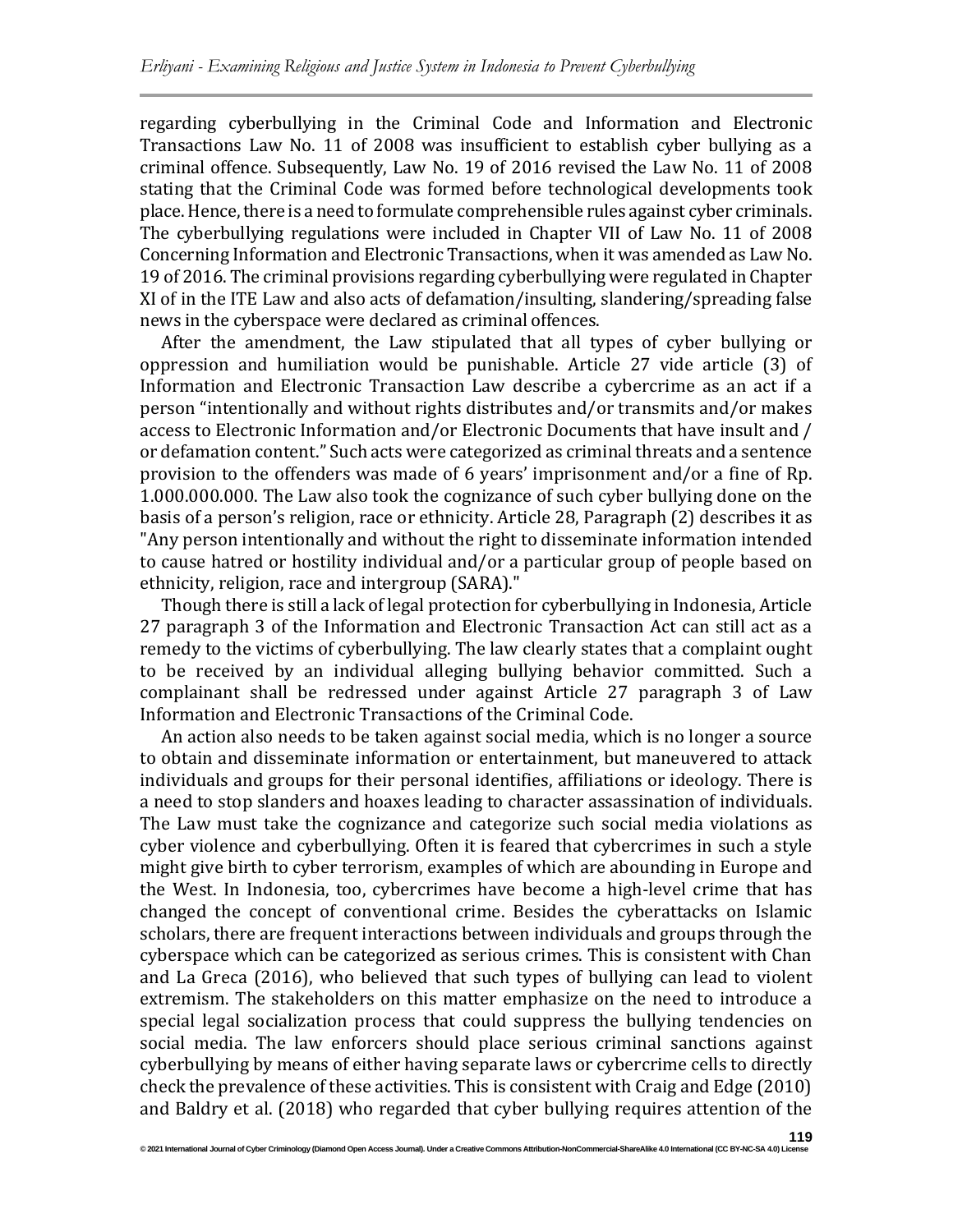regarding cyberbullying in the Criminal Code and Information and Electronic Transactions Law No. 11 of 2008 was insufficient to establish cyber bullying as a criminal offence. Subsequently, Law No. 19 of 2016 revised the Law No. 11 of 2008 stating that the Criminal Code was formed before technological developments took place. Hence, there is a need to formulate comprehensible rules against cyber criminals. The cyberbullying regulations were included in Chapter VII of Law No. 11 of 2008 Concerning Information and Electronic Transactions, when it was amended as Law No. 19 of 2016. The criminal provisions regarding cyberbullying were regulated in Chapter XI of in the ITE Law and also acts of defamation/insulting, slandering/spreading false news in the cyberspace were declared as criminal offences.

After the amendment, the Law stipulated that all types of cyber bullying or oppression and humiliation would be punishable. Article 27 vide article (3) of Information and Electronic Transaction Law describe a cybercrime as an act if a person "intentionally and without rights distributes and/or transmits and/or makes access to Electronic Information and/or Electronic Documents that have insult and / or defamation content."Such acts were categorized as criminal threats and a sentence provision to the offenders was made of 6 years' imprisonment and/or a fine of Rp. 1.000.000.000. The Law also took the cognizance of such cyber bullying done on the basis of a person's religion, race or ethnicity. Article 28, Paragraph (2) describes it as "Any person intentionally and without the right to disseminate information intended to cause hatred or hostility individual and/or a particular group of people based on ethnicity, religion, race and intergroup (SARA)."

Though there is still a lack of legal protection for cyberbullying in Indonesia, Article 27 paragraph 3 of the Information and Electronic Transaction Act can still act as a remedy to the victims of cyberbullying. The law clearly states that a complaint ought to be received by an individual alleging bullying behavior committed. Such a complainant shall be redressed under against Article 27 paragraph 3 of Law Information and Electronic Transactions of the Criminal Code.

An action also needs to be taken against social media, which is no longer a source to obtain and disseminate information or entertainment, but maneuvered to attack individuals and groups for their personal identifies, affiliations or ideology. There is a need to stop slanders and hoaxes leading to character assassination of individuals. The Law must take the cognizance and categorize such social media violations as cyber violence and cyberbullying. Often it is feared that cybercrimes in such a style might give birth to cyber terrorism, examples of which are abounding in Europe and the West. In Indonesia, too, cybercrimes have become a high-level crime that has changed the concept of conventional crime. Besides the cyberattacks on Islamic scholars, there are frequent interactions between individuals and groups through the cyberspace which can be categorized as serious crimes. This is consistent with Chan and La Greca (2016), who believed that such types of bullying can lead to violent extremism. The stakeholders on this matter emphasize on the need to introduce a special legal socialization process that could suppress the bullying tendencies on social media. The law enforcers should place serious criminal sanctions against cyberbullying by means of either having separate laws or cybercrime cells to directly check the prevalence of these activities. This is consistent with Craig and Edge (2010) and Baldry et al. (2018) who regarded that cyber bullying requires attention of the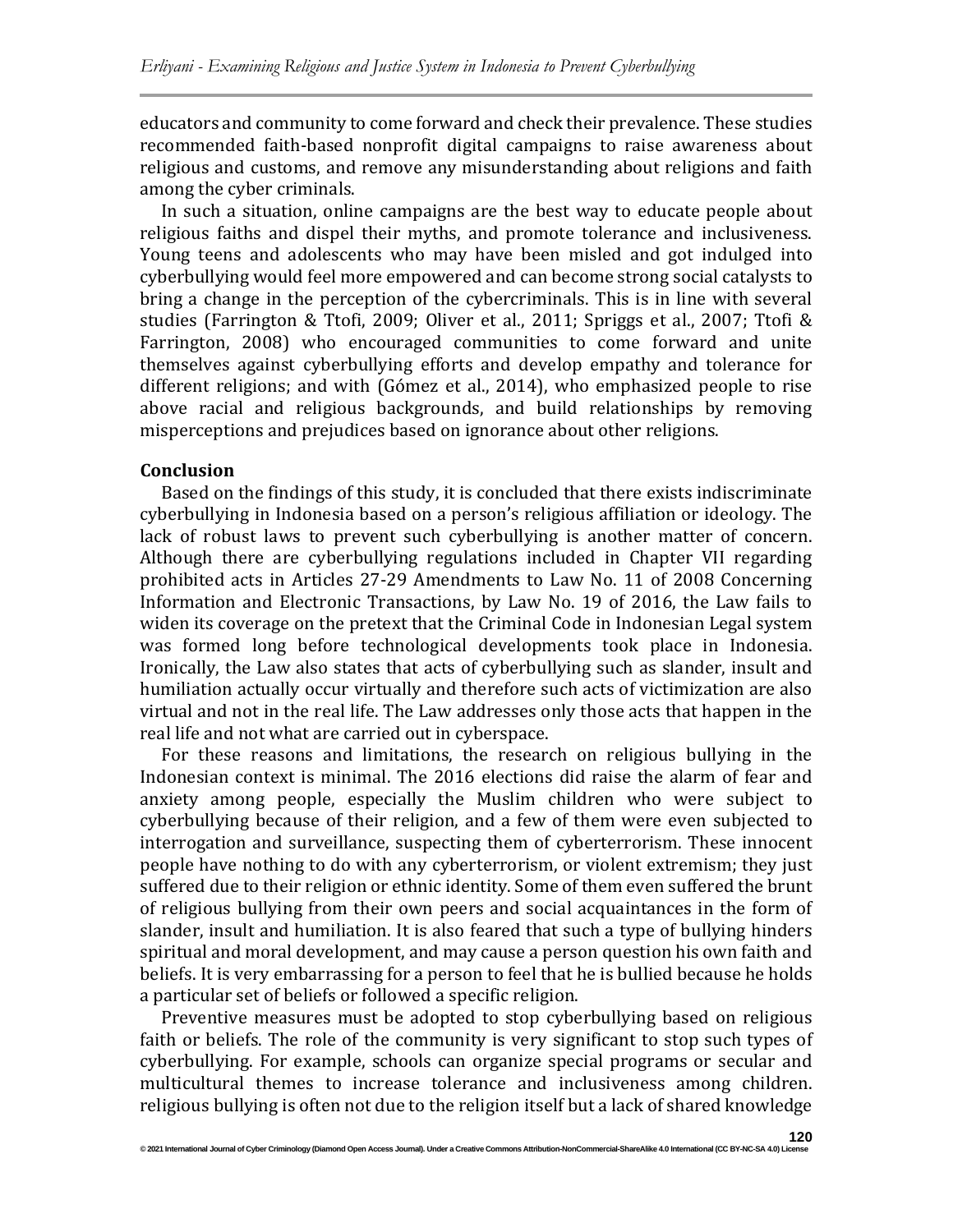educators and community to come forward and check their prevalence. These studies recommended faith-based nonprofit digital campaigns to raise awareness about religious and customs, and remove any misunderstanding about religions and faith among the cyber criminals.

In such a situation, online campaigns are the best way to educate people about religious faiths and dispel their myths, and promote tolerance and inclusiveness. Young teens and adolescents who may have been misled and got indulged into cyberbullying would feel more empowered and can become strong social catalysts to bring a change in the perception of the cybercriminals. This is in line with several studies (Farrington & Ttofi, 2009; Oliver et al., 2011; Spriggs et al., 2007; Ttofi & Farrington, 2008) who encouraged communities to come forward and unite themselves against cyberbullying efforts and develop empathy and tolerance for different religions; and with (Gómez et al., 2014), who emphasized people to rise above racial and religious backgrounds, and build relationships by removing misperceptions and prejudices based on ignorance about other religions.

#### **Conclusion**

Based on the findings of this study, it is concluded that there exists indiscriminate cyberbullying in Indonesia based on a person's religious affiliation or ideology. The lack of robust laws to prevent such cyberbullying is another matter of concern. Although there are cyberbullying regulations included in Chapter VII regarding prohibited acts in Articles 27-29 Amendments to Law No. 11 of 2008 Concerning Information and Electronic Transactions, by Law No. 19 of 2016, the Law fails to widen its coverage on the pretext that the Criminal Code in Indonesian Legal system was formed long before technological developments took place in Indonesia. Ironically, the Law also states that acts of cyberbullying such as slander, insult and humiliation actually occur virtually and therefore such acts of victimization are also virtual and not in the real life. The Law addresses only those acts that happen in the real life and not what are carried out in cyberspace.

For these reasons and limitations, the research on religious bullying in the Indonesian context is minimal. The 2016 elections did raise the alarm of fear and anxiety among people, especially the Muslim children who were subject to cyberbullying because of their religion, and a few of them were even subjected to interrogation and surveillance, suspecting them of cyberterrorism. These innocent people have nothing to do with any cyberterrorism, or violent extremism; they just suffered due to their religion or ethnic identity. Some of them even suffered the brunt of religious bullying from their own peers and social acquaintances in the form of slander, insult and humiliation. It is also feared that such a type of bullying hinders spiritual and moral development, and may cause a person question his own faith and beliefs. It is very embarrassing for a person to feel that he is bullied because he holds a particular set of beliefs or followed a specific religion.

Preventive measures must be adopted to stop cyberbullying based on religious faith or beliefs. The role of the community is very significant to stop such types of cyberbullying. For example, schools can organize special programs or secular and multicultural themes to increase tolerance and inclusiveness among children. religious bullying is often not due to the religion itself but a lack of shared knowledge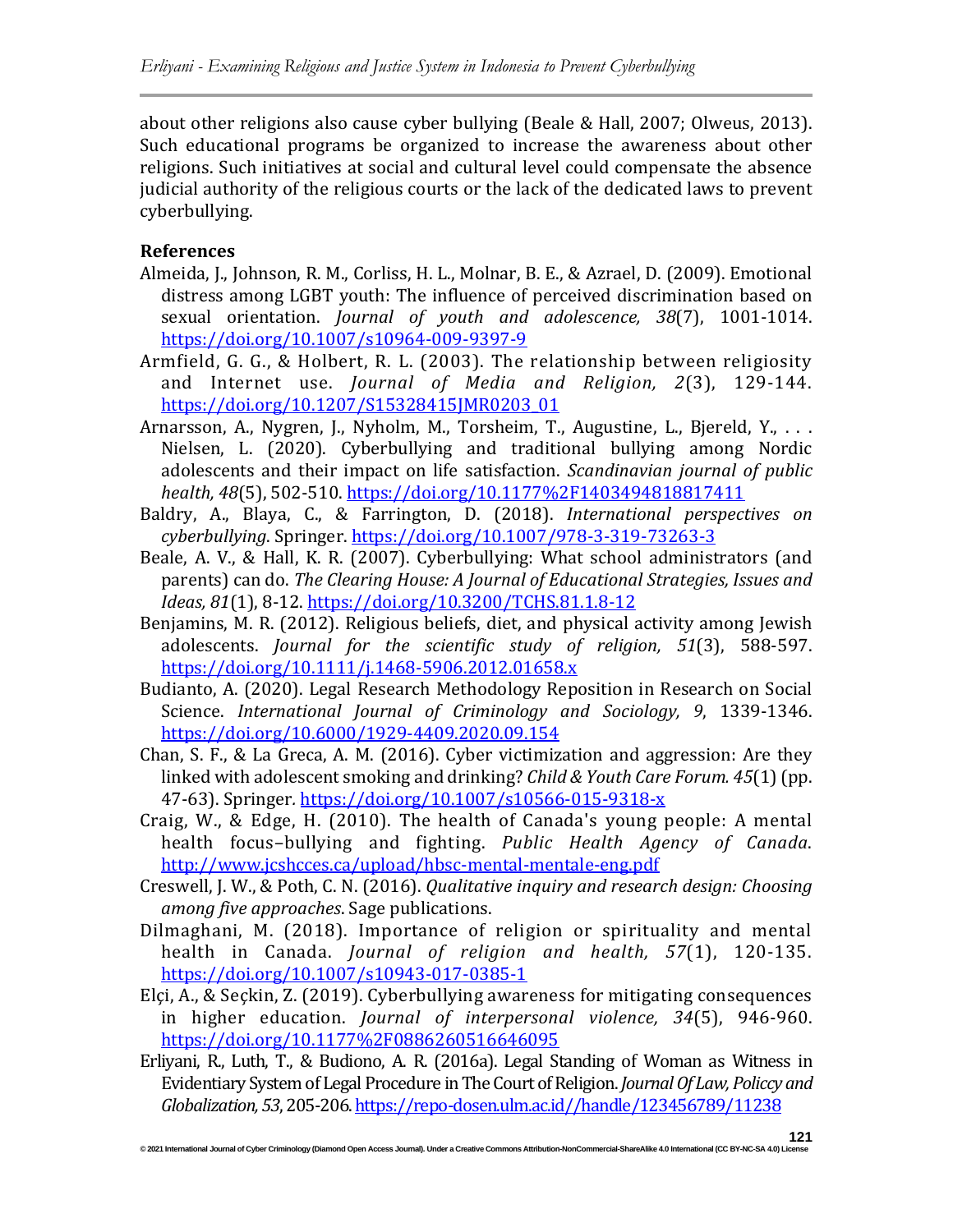about other religions also cause cyber bullying (Beale & Hall, 2007; Olweus, 2013). Such educational programs be organized to increase the awareness about other religions. Such initiatives at social and cultural level could compensate the absence judicial authority of the religious courts or the lack of the dedicated laws to prevent cyberbullying.

# **References**

- Almeida, J., Johnson, R. M., Corliss, H. L., Molnar, B. E., & Azrael, D. (2009). Emotional distress among LGBT youth: The influence of perceived discrimination based on sexual orientation. *Journal of youth and adolescence, 38*(7), 1001-1014. <https://doi.org/10.1007/s10964-009-9397-9>
- Armfield, G. G., & Holbert, R. L. (2003). The relationship between religiosity and Internet use. *Journal of Media and Religion, 2*(3), 129-144. [https://doi.org/10.1207/S15328415JMR0203\\_01](https://doi.org/10.1207/S15328415JMR0203_01)
- Arnarsson, A., Nygren, J., Nyholm, M., Torsheim, T., Augustine, L., Bjereld, Y., . . . Nielsen, L. (2020). Cyberbullying and traditional bullying among Nordic adolescents and their impact on life satisfaction. *Scandinavian journal of public health, 48*(5), 502-510. <https://doi.org/10.1177%2F1403494818817411>
- Baldry, A., Blaya, C., & Farrington, D. (2018). *International perspectives on cyberbullying*. Springer. <https://doi.org/10.1007/978-3-319-73263-3>
- Beale, A. V., & Hall, K. R. (2007). Cyberbullying: What school administrators (and parents) can do. *The Clearing House: A Journal of Educational Strategies, Issues and Ideas, 81*(1), 8-12. <https://doi.org/10.3200/TCHS.81.1.8-12>
- Benjamins, M. R. (2012). Religious beliefs, diet, and physical activity among Jewish adolescents. *Journal for the scientific study of religion, 51*(3), 588-597. <https://doi.org/10.1111/j.1468-5906.2012.01658.x>
- Budianto, A. (2020). Legal Research Methodology Reposition in Research on Social Science. *International Journal of Criminology and Sociology, 9*, 1339-1346. <https://doi.org/10.6000/1929-4409.2020.09.154>
- Chan, S. F., & La Greca, A. M. (2016). Cyber victimization and aggression: Are they linked with adolescent smoking and drinking? *Child & Youth Care Forum. 45*(1)(pp. 47-63). Springer*.* <https://doi.org/10.1007/s10566-015-9318-x>
- Craig, W., & Edge, H. (2010). The health of Canada's young people: A mental health focus–bullying and fighting. *Public Health Agency of Canada*. <http://www.jcshcces.ca/upload/hbsc-mental-mentale-eng.pdf>
- Creswell, J. W., & Poth, C. N. (2016). *Qualitative inquiry and research design: Choosing among five approaches*. Sage publications.
- Dilmaghani, M. (2018). Importance of religion or spirituality and mental health in Canada. *Journal of religion and health, 57*(1), 120-135. <https://doi.org/10.1007/s10943-017-0385-1>
- Elçi, A., & Seçkin, Z. (2019). Cyberbullying awareness for mitigating consequences in higher education. *Journal of interpersonal violence, 34*(5), 946-960. <https://doi.org/10.1177%2F0886260516646095>
- Erliyani, R., Luth, T., & Budiono, A. R. (2016a). Legal Standing of Woman as Witness in Evidentiary System of Legal Procedure in The Court of Religion. *Journal Of Law, Policcy and Globalization, 53*, 205-206[.https://repo-dosen.ulm.ac.id//handle/123456789/11238](https://repo-dosen.ulm.ac.id/handle/123456789/11238)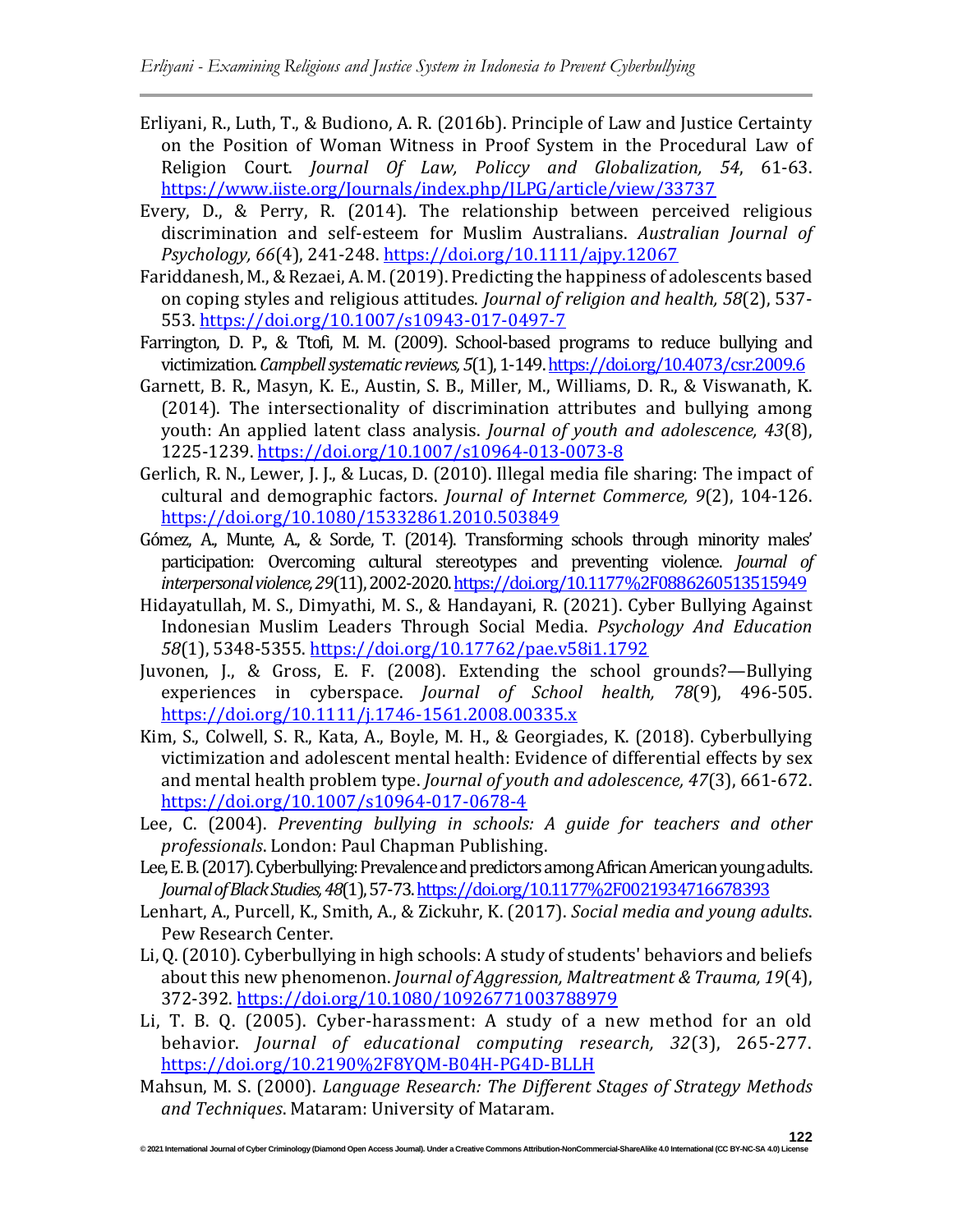- Erliyani, R., Luth, T., & Budiono, A. R. (2016b). Principle of Law and Justice Certainty on the Position of Woman Witness in Proof System in the Procedural Law of Religion Court. *Journal Of Law, Policcy and Globalization, 54*, 61-63. <https://www.iiste.org/Journals/index.php/JLPG/article/view/33737>
- Every, D., & Perry, R. (2014). The relationship between perceived religious discrimination and self‐esteem for Muslim Australians. *Australian Journal of Psychology, 66*(4), 241-248. <https://doi.org/10.1111/ajpy.12067>
- Fariddanesh, M.,& Rezaei, A. M.(2019). Predicting the happiness of adolescents based on coping styles and religious attitudes. *Journal of religion and health, 58*(2), 537- 553. <https://doi.org/10.1007/s10943-017-0497-7>
- Farrington, D. P., & Ttofi, M. M. (2009). School-based programs to reduce bullying and victimization.*Campbellsystematic reviews,5*(1),1-149[.https://doi.org/10.4073/csr.2009.6](https://doi.org/10.4073/csr.2009.6)
- Garnett, B. R., Masyn, K. E., Austin, S. B., Miller, M., Williams, D. R., & Viswanath, K. (2014). The intersectionality of discrimination attributes and bullying among youth: An applied latent class analysis. *Journal of youth and adolescence, 43*(8), 1225-1239. <https://doi.org/10.1007/s10964-013-0073-8>
- Gerlich, R. N., Lewer, J. J., & Lucas, D. (2010). Illegal media file sharing: The impact of cultural and demographic factors. *Journal of Internet Commerce, 9*(2), 104-126. <https://doi.org/10.1080/15332861.2010.503849>
- Gómez, A., Munte, A., & Sorde, T. (2014). Transforming schools through minority males' participation: Overcoming cultural stereotypes and preventing violence. *Journal of interpersonalviolence,29*(11),2002-2020[.https://doi.org/10.1177%2F0886260513515949](https://doi.org/10.1177%2F0886260513515949)
- Hidayatullah, M. S., Dimyathi, M. S., & Handayani, R. (2021). Cyber Bullying Against Indonesian Muslim Leaders Through Social Media. *Psychology And Education 58*(1), 5348-5355. <https://doi.org/10.17762/pae.v58i1.1792>
- Juvonen, J., & Gross, E. F. (2008). Extending the school grounds?—Bullying experiences in cyberspace. *Journal of School health, 78*(9), 496-505. <https://doi.org/10.1111/j.1746-1561.2008.00335.x>
- Kim, S., Colwell, S. R., Kata, A., Boyle, M. H., & Georgiades, K. (2018). Cyberbullying victimization and adolescent mental health: Evidence of differential effects by sex and mental health problem type. *Journal of youth and adolescence, 47*(3), 661-672. <https://doi.org/10.1007/s10964-017-0678-4>
- Lee, C. (2004). *Preventing bullying in schools: A guide for teachers and other professionals*. London: Paul Chapman Publishing.
- Lee, E. B. (2017). Cyberbullying: Prevalence and predictors among African American young adults. *JournalofBlackStudies,48*(1),57-73[.https://doi.org/10.1177%2F0021934716678393](https://doi.org/10.1177%2F0021934716678393)
- Lenhart, A., Purcell, K., Smith, A., & Zickuhr, K. (2017). *Social media and young adults*. Pew Research Center.
- Li, Q.(2010). Cyberbullying in high schools: A study of students' behaviors and beliefs about this new phenomenon. *Journal of Aggression, Maltreatment & Trauma, 19*(4), 372-392. <https://doi.org/10.1080/10926771003788979>
- Li, T. B. Q. (2005). Cyber-harassment: A study of a new method for an old behavior. *Journal of educational computing research, 32*(3), 265-277. <https://doi.org/10.2190%2F8YQM-B04H-PG4D-BLLH>
- Mahsun, M. S. (2000). *Language Research: The Different Stages of Strategy Methods and Techniques*. Mataram: University of Mataram.